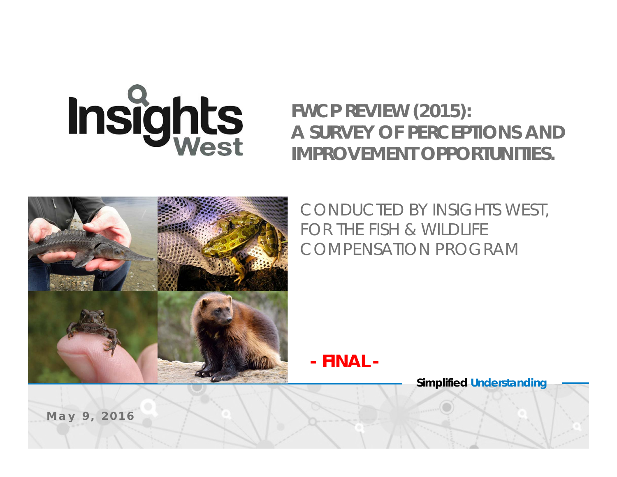Insights

### *FWCP REVIEW (2015): A SURVEY OF PERCEPTIONS AND IMPROVEMENT OPPORTUNITIES.*



*CONDUCTED BY INSIGHTS WEST, FOR THE FISH & WILDLIFE COMPENSATION PROGRAM*

*- FINAL -*

**Simplified** *Understanding*

*May 9, 2016*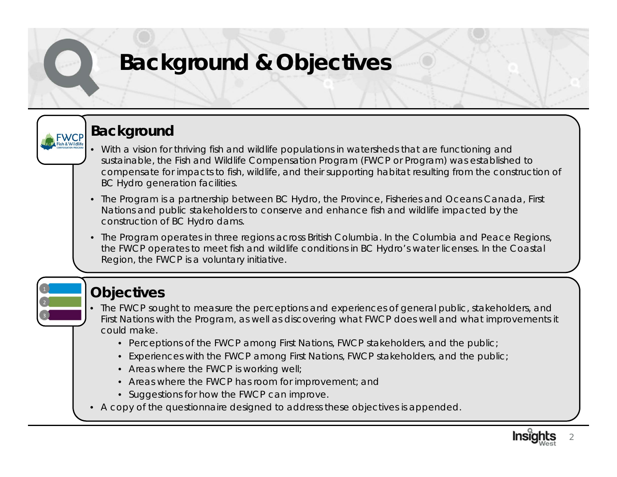## **Background & Objectives**

### **Background**

**FWCP** 

- With a vision for *thriving fish and wildlife populations in watersheds that are functioning and sustainable*, the Fish and Wildlife Compensation Program (FWCP or Program) was established to compensate for impacts to fish, wildlife, and their supporting habitat resulting from the construction of BC Hydro generation facilities.
- The Program is a partnership between BC Hydro, the Province, Fisheries and Oceans Canada, First Nations and public stakeholders to conserve and enhance fish and wildlife impacted by the construction of BC Hydro dams.
- The Program operates in three regions across British Columbia. In the Columbia and Peace Regions, the FWCP operates to meet fish and wildlife conditions in BC Hydro's water licenses. In the Coastal Region, the FWCP is a voluntary initiative.

### **Objectives**

- The FWCP sought to measure the perceptions and experiences of general public, stakeholders, and First Nations with the Program, as well as discovering what FWCP does well and what improvements it could make.
	- Perceptions of the FWCP among First Nations, FWCP stakeholders, and the public;
	- Experiences with the FWCP among First Nations, FWCP stakeholders, and the public;
	- Areas where the FWCP is working well;
	- Areas where the FWCP has room for improvement; and
	- Suggestions for how the FWCP can improve.
- A copy of the questionnaire designed to address these objectives is appended.

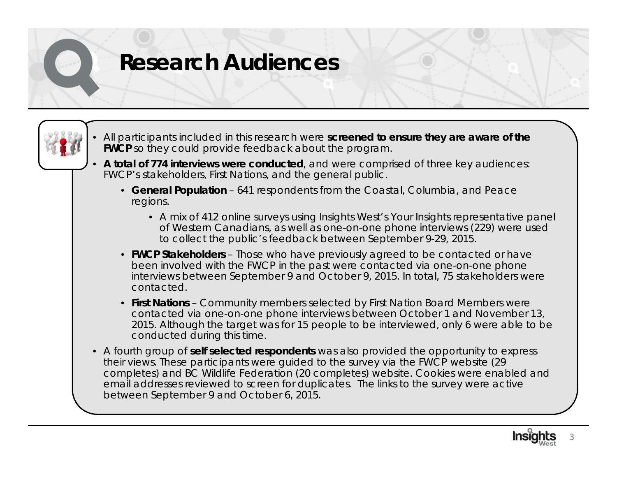## **Research Audiences**

- 
- All participants included in this research were **screened to ensure they are aware of the FWCP** so they could provide feedback about the program.
- **A total of 774 interviews were conducted**, and were comprised of three key audiences: FWCP's stakeholders, First Nations, and the general public.
	- **General Population**  641 respondents from the Coastal, Columbia, and Peace regions.
		- A mix of 412 online surveys using Insights West's *Your Insights* representative panel of Western Canadians, as well as one-on-one phone interviews (229) were used to collect the public's feedback between September 9-29, 2015.
	- **FWCP Stakeholders** Those who have previously agreed to be contacted or have been involved with the FWCP in the past were contacted via one-on-one phone interviews between September 9 and October 9, 2015. In total, 75 stakeholders were contacted.
	- **First Nations**  Community members selected by First Nation Board Members were contacted via one-on-one phone interviews between October 1 and November 13, 2015. Although the target was for 15 people to be interviewed, only 6 were able to be conducted during this time.
- A fourth group of **self selected respondents** was also provided the opportunity to express their views. These participants were guided to the survey via the FWCP website (29 completes) and BC Wildlife Federation (20 completes) website. Cookies were enabled and email addresses reviewed to screen for duplicates. The links to the survey were active between September 9 and October 6, 2015.

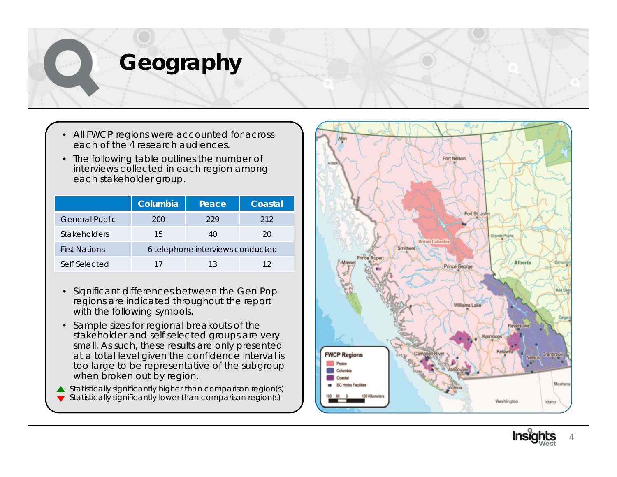## **Geography**

- All FWCP regions were accounted for across each of the 4 research audiences.
- The following table outlines the number of interviews collected in each region among each stakeholder group.

|                       | Columbia                         | Peace | Coastal |  |  |
|-----------------------|----------------------------------|-------|---------|--|--|
| <b>General Public</b> | 200                              | 229   | 212     |  |  |
| Stakeholders          | 15                               | 40    | 20      |  |  |
| <b>First Nations</b>  | 6 telephone interviews conducted |       |         |  |  |
| Self Selected         | 17                               | 13    | 12      |  |  |

- Significant differences between the Gen Pop regions are indicated throughout the report with the following symbols.
- Sample sizes for regional breakouts of the stakeholder and self selected groups are very small. As such, these results are only presented at a total level given the confidence interval is too large to be representative of the subgroup when broken out by region.
- $\triangle$  Statistically significantly higher than comparison region(s)  $\blacktriangledown$  Statistically significantly lower than comparison region(s)



4

**Insi**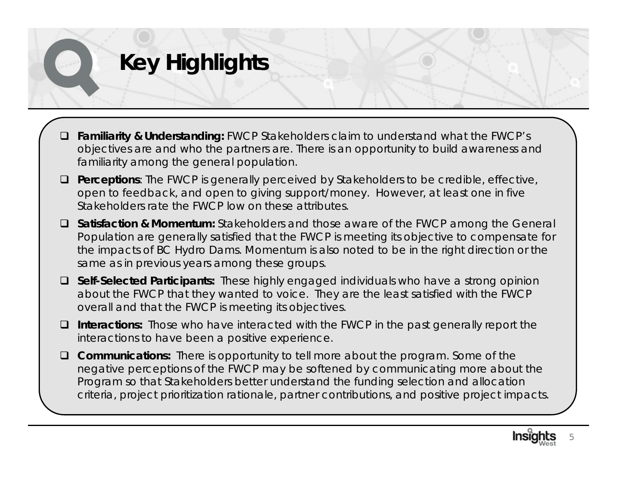# **Key Highlights**

- $\Box$  **Familiarity & Understanding:** FWCP Stakeholders claim to understand what the FWCP's objectives are and who the partners are. There is an opportunity to build awareness and familiarity among the general population.
- **Perceptions**: The FWCP is generally perceived by Stakeholders to be credible, effective, open to feedback, and open to giving support/money. However, at least one in five Stakeholders rate the FWCP low on these attributes.
- **Satisfaction & Momentum:** Stakeholders and those aware of the FWCP among the General Population are generally satisfied that the FWCP is meeting its objective to compensate for the impacts of BC Hydro Dams. Momentum is also noted to be in the right direction or the same as in previous years among these groups.
- **Self-Selected Participants:** These highly engaged individuals who have a strong opinion about the FWCP that they wanted to voice. They are the least satisfied with the FWCP overall and that the FWCP is meeting its objectives.
- **Interactions:** Those who have interacted with the FWCP in the past generally report the interactions to have been a positive experience.
- **Communications:** There is opportunity to tell more about the program. Some of the negative perceptions of the FWCP may be softened by communicating more about the Program so that Stakeholders better understand the funding selection and allocation criteria, project prioritization rationale, partner contributions, and positive project impacts.

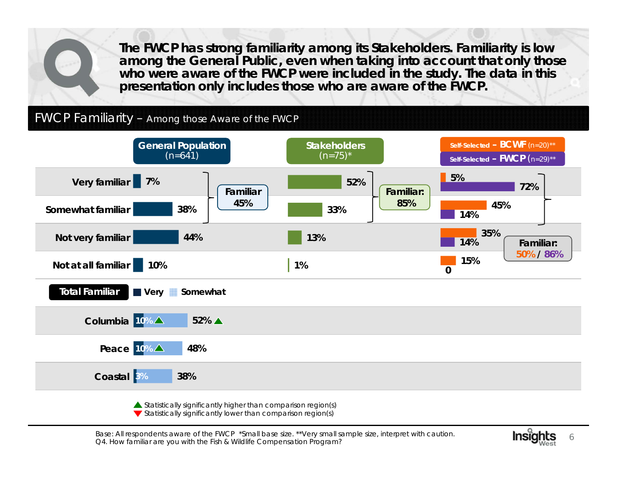**The FWCP has strong familiarity among its Stakeholders. Familiarity is low among the General Public, even when taking into account that only those who were aware of the FWCP were included in the study. The data in this presentation only includes those who are aware of the FWCP.**

#### FWCP Familiarity – Among those Aware of the FWCP



Base: All respondents aware of the FWCP \*Small base size. \*\*Very small sample size, interpret with caution.<br>Q4. How familiar are you with the Fish & Wildlife Compensation Program?

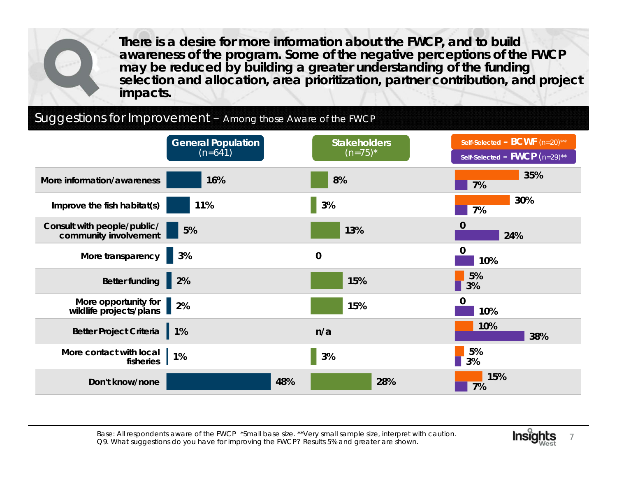**There is a desire for more information about the FWCP, and to build awareness of the program. Some of the negative perceptions of the FWCP may be reduced by building a greater understanding of the funding selection and allocation, area prioritization, partner contribution, and project impacts.**

#### Suggestions for Improvement – Among those Aware of the FWCP



Base: All respondents aware of the FWCP \*Small base size. \*\*Very small sample size, interpret with caution. Q9. What suggestions do you have for improving the FWCP? Results 5% and greater are shown.

7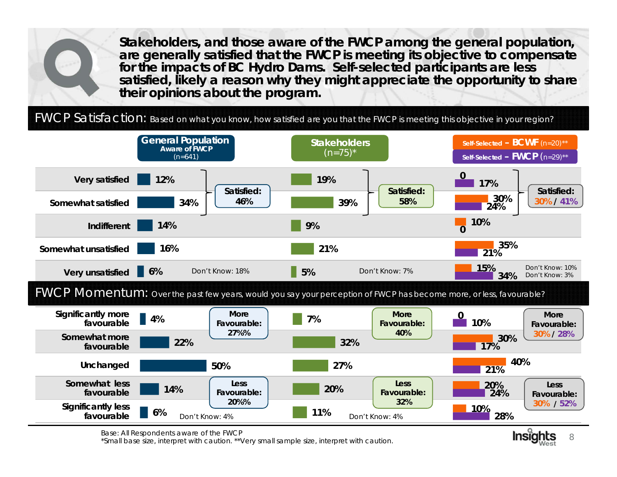**Stakeholders, and those aware of the FWCP among the general population, are generally satisfied that the FWCP is meeting its objective to compensate for the impacts of BC Hydro Dams. Self-selected participants are less satisfied, likely a reason why they might appreciate the opportunity to share their opinions about the program.** 

FWCP Satisfaction: *Based on what you know, how satisfied are you that the FWCP is meeting this objective in your region?* 





Base: All Respondents aware of the FWCP<br>\*Small base size, interpret with caution. \*\*Very small sample size, interpret with caution.

8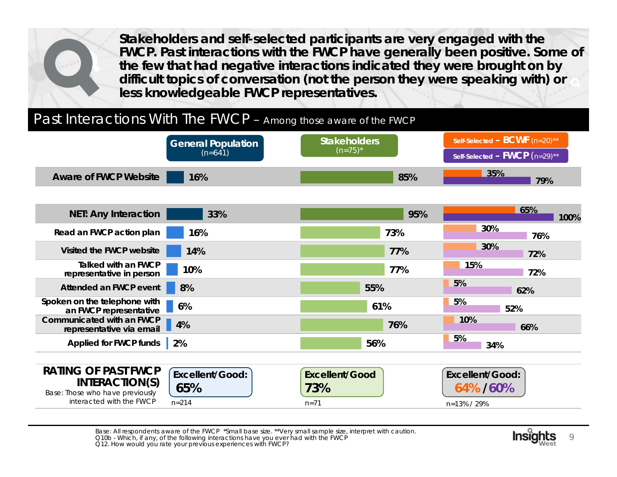**Stakeholders and self-selected participants are very engaged with the FWCP. Past interactions with the FWCP have generally been positive. Some of the few that had negative interactions indicated they were brought on by difficult topics of conversation (not the person they were speaking with) or less knowledgeable FWCP representatives.** 

#### Past Interactions With The FWCP – Among those aware of the FWCP



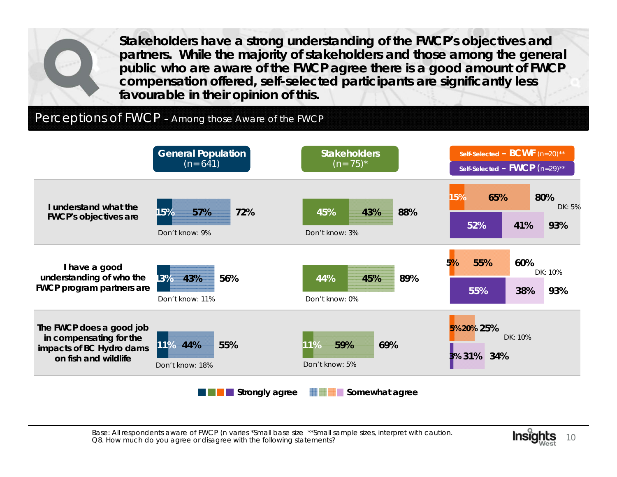**Stakeholders have a strong understanding of the FWCP's objectives and partners. While the majority of stakeholders and those among the general public who are aware of the FWCP agree there is a good amount of FWCP compensation offered, self-selected participants are significantly less favourable in their opinion of this.**

#### Perceptions of FWCP - Among those Aware of the FWCP



Base: All respondents aware of FWCP (n varies \*Small base size \*\*Small sample sizes, interpret with caution. Q8. How much do you agree or disagree with the following statements?

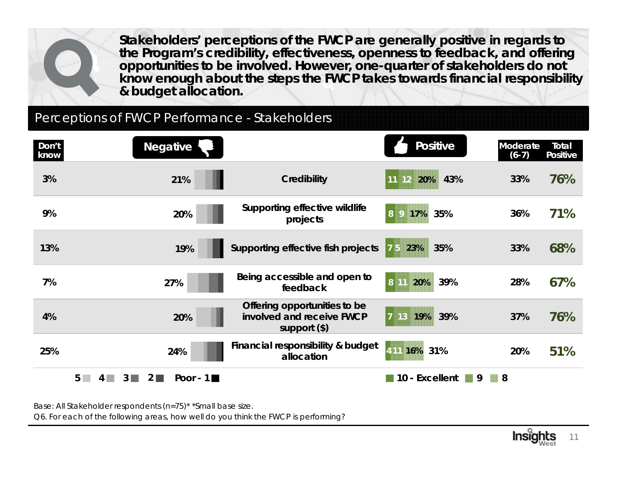**Stakeholders' perceptions of the FWCP are generally positive in regards to the Program's credibility, effectiveness, openness to feedback, and offering opportunities to be involved. However, one-quarter of stakeholders do not know enough about the steps the FWCP takes towards financial responsibility & budget allocation.**

#### Perceptions of FWCP Performance - Stakeholders

| Don't<br>know | <b>Negative</b>                                      |                                                                             | <b>Positive</b>       | Moderate<br>$(6-7)$ | Total<br><b>Positive</b> |
|---------------|------------------------------------------------------|-----------------------------------------------------------------------------|-----------------------|---------------------|--------------------------|
| 3%            | 21%                                                  | <b>Credibility</b>                                                          | 43%<br>$11$ 12<br>20% | 33%                 | 76%                      |
| 9%            | 20%                                                  | Supporting effective wildlife<br>projects                                   | 35%<br> 8 <br>17%     | 36%                 | 71%                      |
| 13%           | 19%                                                  | Supporting effective fish projects                                          | 75<br>23%<br>35%      | 33%                 | 68%                      |
| 7%            | 27%                                                  | Being accessible and open to<br>feedback                                    | 8 11<br>39%<br>20%    | 28%                 | 67%                      |
| 4%            | 20%                                                  | Offering opportunities to be<br>involved and receive FWCP<br>support $(\$)$ | 39%<br>7 13 19%       | 37%                 | 76%                      |
| 25%           | 24%                                                  | Financial responsibility & budget<br>allocation                             | 4 11 16% 31%          | 20%                 | 51%                      |
|               | $5\Box$<br>Poor - $1 \blacksquare$<br>ا 2<br>3.<br>4 |                                                                             | 10 - Excellent<br>■ 9 | 8                   |                          |

Base: All Stakeholder respondents (n=75)\* \*Small base size.

Q6. For each of the following areas, how well do you think the FWCP is performing?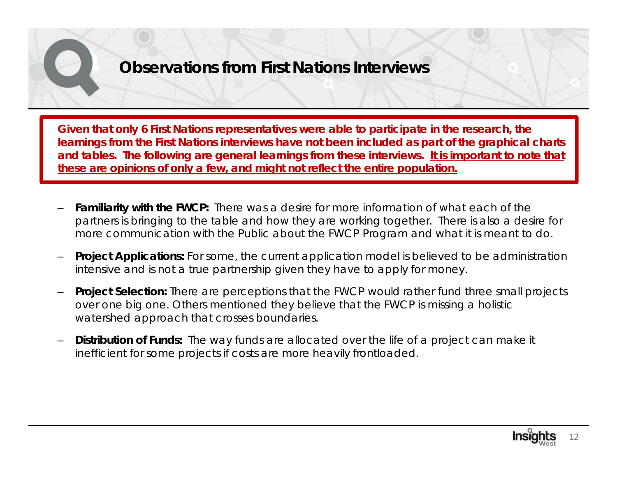**Given that only 6 First Nations representatives were able to participate in the research, the learnings from the First Nations interviews have not been included as part of the graphical charts and tables. The following are general learnings from these interviews. It is important to note that these are opinions of only a few, and might not reflect the entire population.** 

- **Familiarity with the FWCP:** There was a desire for more information of what each of the partners is bringing to the table and how they are working together. There is also a desire for more communication with the Public about the FWCP Program and what it is meant to do.
- **Project Applications:** For some, the current application model is believed to be administration intensive and is not a true partnership given they have to apply for money.
- **Project Selection:** There are perceptions that the FWCP would rather fund three small projects over one big one. Others mentioned they believe that the FWCP is missing a holistic watershed approach that crosses boundaries.
- **Distribution of Funds:** The way funds are allocated over the life of a project can make it inefficient for some projects if costs are more heavily frontloaded.

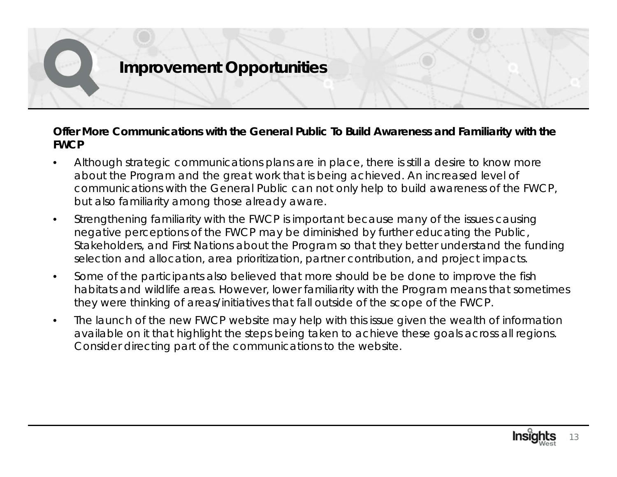#### **Offer More Communications with the General Public To Build Awareness and Familiarity with the FWCP**

- $\bullet$  Although strategic communications plans are in place, there is still a desire to know more about the Program and the great work that is being achieved. An increased level of communications with the General Public can not only help to build awareness of the FWCP, but also familiarity among those already aware.
- • Strengthening familiarity with the FWCP is important because many of the issues causing negative perceptions of the FWCP may be diminished by further educating the Public, Stakeholders, and First Nations about the Program so that they better understand the funding selection and allocation, area prioritization, partner contribution, and project impacts.
- $\bullet$  Some of the participants also believed that more should be be done to improve the fish habitats and wildlife areas. However, lower familiarity with the Program means that sometimes they were thinking of areas/initiatives that fall outside of the scope of the FWCP.
- $\bullet$  The launch of the new FWCP website may help with this issue given the wealth of information available on it that highlight the steps being taken to achieve these goals across all regions. Consider directing part of the communications to the website.